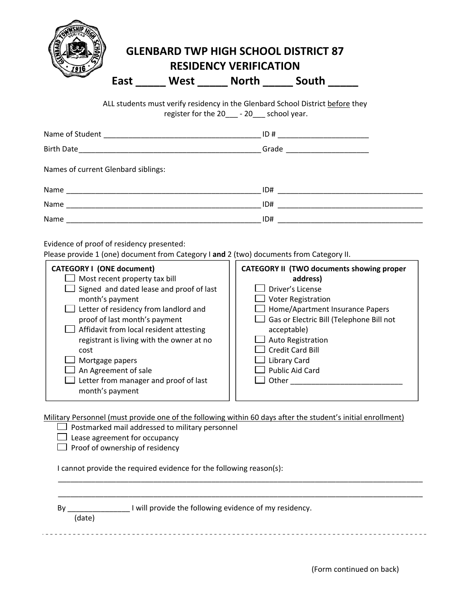

## **GLENBARD TWP HIGH SCHOOL DISTRICT 87 RESIDENCY VERIFICATION**

**East \_\_\_\_\_ West \_\_\_\_\_ North \_\_\_\_\_ South \_\_\_\_\_**

ALL students must verify residency in the Glenbard School District before they register for the 20\_\_\_ - 20\_\_\_ school year.

|                                     | Grade ________________________ |
|-------------------------------------|--------------------------------|
| Names of current Glenbard siblings: |                                |
|                                     | ID#                            |
| Name                                | ID#                            |
| Name                                | ID#                            |

Evidence of proof of residency presented:

Please provide 1 (one) document from Category I **and** 2 (two) documents from Category II.

| <b>CATEGORY I (ONE document)</b>          | <b>CATEGORY II (TWO documents showing proper</b> |
|-------------------------------------------|--------------------------------------------------|
| Most recent property tax bill             | address)                                         |
| Signed and dated lease and proof of last  | Driver's License                                 |
| month's payment                           | <b>Voter Registration</b>                        |
| Letter of residency from landlord and     | Home/Apartment Insurance Papers                  |
| proof of last month's payment             | Gas or Electric Bill (Telephone Bill not         |
| Affidavit from local resident attesting   | acceptable)                                      |
| registrant is living with the owner at no | Auto Registration                                |
| cost                                      | $\Box$ Credit Card Bill                          |
| Mortgage papers                           | <b>Library Card</b>                              |
| An Agreement of sale                      | <b>Public Aid Card</b>                           |
| Letter from manager and proof of last     | Other                                            |
| month's payment                           |                                                  |
|                                           |                                                  |

Military Personnel (must provide one of the following within 60 days after the student's initial enrollment)

|        | willitary Personnel (must provide one of the following within 60 days after the student S initial enrollment) |  |
|--------|---------------------------------------------------------------------------------------------------------------|--|
|        | Postmarked mail addressed to military personnel                                                               |  |
|        | Lease agreement for occupancy                                                                                 |  |
|        | Proof of ownership of residency                                                                               |  |
|        | cannot provide the required evidence for the following reason(s):                                             |  |
| Bv     | I will provide the following evidence of my residency.                                                        |  |
| (date) |                                                                                                               |  |